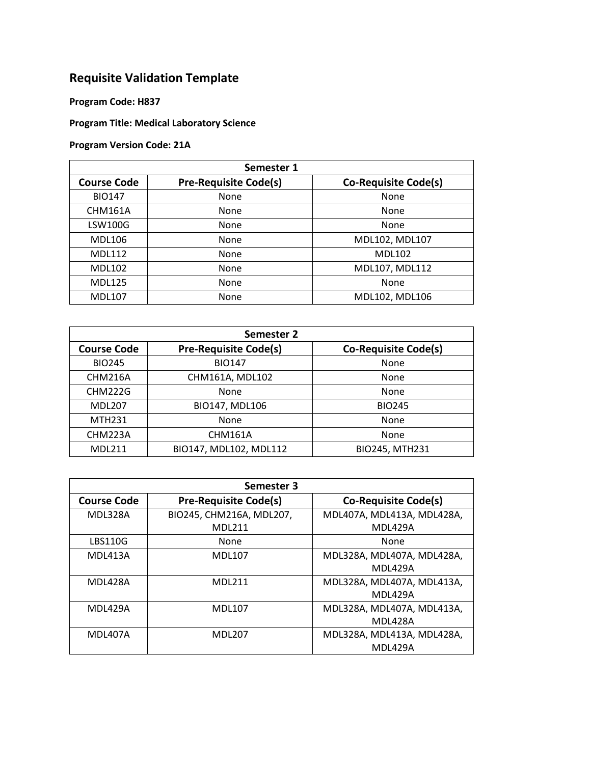## **Requisite Validation Template**

**Program Code: H837**

## **Program Title: Medical Laboratory Science**

## **Program Version Code: 21A**

| Semester 1         |                              |                             |
|--------------------|------------------------------|-----------------------------|
| <b>Course Code</b> | <b>Pre-Requisite Code(s)</b> | <b>Co-Requisite Code(s)</b> |
| <b>BIO147</b>      | None                         | None                        |
| <b>CHM161A</b>     | None                         | None                        |
| <b>LSW100G</b>     | None                         | None                        |
| <b>MDL106</b>      | None                         | MDL102, MDL107              |
| <b>MDL112</b>      | None                         | <b>MDL102</b>               |
| <b>MDL102</b>      | None                         | MDL107, MDL112              |
| <b>MDL125</b>      | None                         | None                        |
| <b>MDL107</b>      | None                         | MDL102, MDL106              |

| Semester 2         |                              |                             |
|--------------------|------------------------------|-----------------------------|
| <b>Course Code</b> | <b>Pre-Requisite Code(s)</b> | <b>Co-Requisite Code(s)</b> |
| <b>BIO245</b>      | <b>BIO147</b>                | None                        |
| CHM216A            | CHM161A, MDL102              | None                        |
| <b>CHM222G</b>     | None                         | None                        |
| <b>MDL207</b>      | BIO147, MDL106               | <b>BIO245</b>               |
| <b>MTH231</b>      | None                         | None                        |
| CHM223A            | CHM161A                      | None                        |
| <b>MDL211</b>      | BIO147, MDL102, MDL112       | BIO245, MTH231              |

| Semester 3         |                              |                             |
|--------------------|------------------------------|-----------------------------|
| <b>Course Code</b> | <b>Pre-Requisite Code(s)</b> | <b>Co-Requisite Code(s)</b> |
| MDL328A            | BIO245, CHM216A, MDL207,     | MDL407A, MDL413A, MDL428A,  |
|                    | MDI 211                      | MDL429A                     |
| <b>LBS110G</b>     | None                         | None                        |
| MDL413A            | <b>MDL107</b>                | MDL328A, MDL407A, MDL428A,  |
|                    |                              | <b>MDL429A</b>              |
| MDL428A            | MDI 211                      | MDL328A, MDL407A, MDL413A,  |
|                    |                              | MDL429A                     |
| MDL429A            | <b>MDL107</b>                | MDL328A, MDL407A, MDL413A,  |
|                    |                              | MDL428A                     |
| MDL407A            | <b>MDL207</b>                | MDL328A, MDL413A, MDL428A,  |
|                    |                              | MDL429A                     |